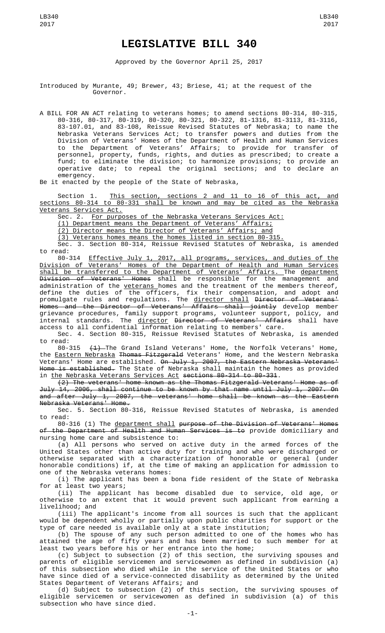## **LEGISLATIVE BILL 340**

Approved by the Governor April 25, 2017

Introduced by Murante, 49; Brewer, 43; Briese, 41; at the request of the Governor.

A BILL FOR AN ACT relating to veterans homes; to amend sections 80-314, 80-315, 80-316, 80-317, 80-319, 80-320, 80-321, 80-322, 81-1316, 81-3113, 81-3116, 83-107.01, and 83-108, Reissue Revised Statutes of Nebraska; to name the Nebraska Veterans Services Act; to transfer powers and duties from the Division of Veterans' Homes of the Department of Health and Human Services to the Department of Veterans' Affairs; to provide for transfer of personnel, property, funds, rights, and duties as prescribed; to create a fund; to eliminate the division; to harmonize provisions; to provide an operative date; to repeal the original sections; and to declare an emergency.

Be it enacted by the people of the State of Nebraska,

Section 1. This section, sections 2 and 11 to 16 of this act, and sections 80-314 to 80-331 shall be known and may be cited as the Nebraska Veterans Services Act.

Sec. 2. <u>For purposes of the Nebraska Veterans Services Act:</u><br>(1) Department means the Department of Veterans' Affairs;

(1) Department means the Department of Veterans'

(2) Director means the Director of Veterans' Affairs; and

(3) Veterans homes means the homes listed in section 80-315.

Sec. 3. Section 80-314, Reissue Revised Statutes of Nebraska, is amended to read:

80-314 Effective July 1, 2017, all programs, services, and duties of the Division of Veterans' Homes of the Department of Health and Human Services shall be transferred to the Department of Veterans' Affairs. The department <del>Division of Veterans' Homes</del> shall be responsible for the management and administration of the <u>veterans </u>homes and the treatment of the members thereof, define the duties of the officers, fix their compensation, and adopt and promulgate rules and regulations. The <u>director shall</u> <del>Director of Veterans'</del> Homes and the Director of Veterans' Affairs shall jointly develop member grievance procedures, family support programs, volunteer support, policy, and internal standards. The <u>director</u> <del>Director of Veterans' Affairs</del> shall have access to all confidential information relating to members' care.

Sec. 4. Section 80-315, Reissue Revised Statutes of Nebraska, is amended

to read:<br>80-315  $\overline{41}$  The Grand Island Veterans' Home, the Norfolk Veterans' Home, the **Eastern Nebraska Thomas Fitzgerald** Veterans' Home, and the Western Nebraska Veterans' Home are established. <del>On July 1, 2007, the Eastern Nebraska Veterans'</del> Home is established. The State of Nebraska shall maintain the homes as provided in the Nebraska Veterans Services Act sections 80-314 to 80-331.

(2) The veterans' home known as the Thomas Fitzgerald Veterans' Home as of July 14, 2006, shall continue to be known by that name until July 1, 2007. On and after July 1, 2007, the veterans' home shall be known as the Eastern Nebraska Veterans' Home.

Sec. 5. Section 80-316, Reissue Revised Statutes of Nebraska, is amended to read:

80-316 (1) The department shall purpose of the Division of Veterans' Homes of the Department of Health and Human Services is to provide domiciliary and nursing home care and subsistence to:

(a) All persons who served on active duty in the armed forces of the United States other than active duty for training and who were discharged or otherwise separated with a characterization of honorable or general (under honorable conditions) if, at the time of making an application for admission to one of the Nebraska veterans homes:

(i) The applicant has been a bona fide resident of the State of Nebraska for at least two years;

(ii) The applicant has become disabled due to service, old age, or otherwise to an extent that it would prevent such applicant from earning a livelihood; and

(iii) The applicant's income from all sources is such that the applicant would be dependent wholly or partially upon public charities for support or the type of care needed is available only at a state institution;

(b) The spouse of any such person admitted to one of the homes who has attained the age of fifty years and has been married to such member for at least two years before his or her entrance into the home;

(c) Subject to subsection (2) of this section, the surviving spouses and parents of eligible servicemen and servicewomen as defined in subdivision (a) of this subsection who died while in the service of the United States or who have since died of a service-connected disability as determined by the United States Department of Veterans Affairs; and

(d) Subject to subsection (2) of this section, the surviving spouses of eligible servicemen or servicewomen as defined in subdivision (a) of this subsection who have since died.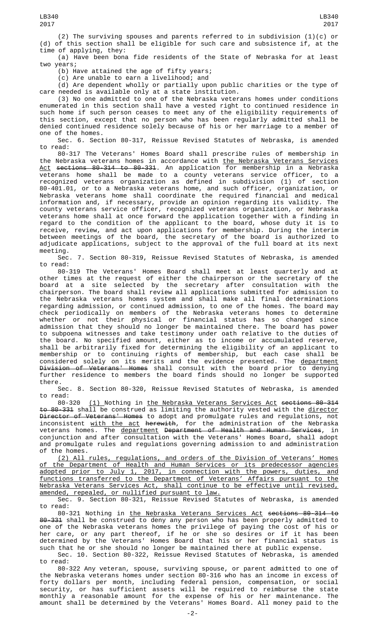(a) Have been bona fide residents of the State of Nebraska for at least two years;

(b) Have attained the age of fifty years;

(c) Are unable to earn a livelihood; and

(d) Are dependent wholly or partially upon public charities or the type of care needed is available only at a state institution.

(3) No one admitted to one of the Nebraska veterans homes under conditions enumerated in this section shall have a vested right to continued residence in such home if such person ceases to meet any of the eligibility requirements of this section, except that no person who has been regularly admitted shall be denied continued residence solely because of his or her marriage to a member of one of the homes.

Sec. 6. Section 80-317, Reissue Revised Statutes of Nebraska, is amended to read:

80-317 The Veterans' Homes Board shall prescribe rules of membership in the Nebraska veterans homes in accordance with <u>the Nebraska Veterans Services</u> <u>Act</u> <del>sections 80-314 to 80-331</del>. An application for membership in a Nebraska veterans home shall be made to a county veterans service officer, to a recognized veterans organization as defined in subdivision (1) of section 80-401.01, or to a Nebraska veterans home, and such officer, organization, or Nebraska veterans home shall coordinate the required financial and medical information and, if necessary, provide an opinion regarding its validity. The county veterans service officer, recognized veterans organization, or Nebraska veterans home shall at once forward the application together with a finding in regard to the condition of the applicant to the board, whose duty it is to receive, review, and act upon applications for membership. During the interim between meetings of the board, the secretary of the board is authorized to adjudicate applications, subject to the approval of the full board at its next meeting.

Sec. 7. Section 80-319, Reissue Revised Statutes of Nebraska, is amended to read:

80-319 The Veterans' Homes Board shall meet at least quarterly and at other times at the request of either the chairperson or the secretary of the board at a site selected by the secretary after consultation with the chairperson. The board shall review all applications submitted for admission to the Nebraska veterans homes system and shall make all final determinations regarding admission, or continued admission, to one of the homes. The board may check periodically on members of the Nebraska veterans homes to determine whether or not their physical or financial status has so changed since admission that they should no longer be maintained there. The board has power to subpoena witnesses and take testimony under oath relative to the duties of the board. No specified amount, either as to income or accumulated reserve, shall be arbitrarily fixed for determining the eligibility of an applicant to membership or to continuing rights of membership, but each case shall be considered solely on its merits and the evidence presented. The <u>department</u> <del>Division of Veterans' Homes</del> shall consult with the board prior to denying further residence to members the board finds should no longer be supported there.

Sec. 8. Section 80-320, Reissue Revised Statutes of Nebraska, is amended

to read:<br>80-320 (1) Nothing in the Nebraska Veterans Services Act sections 80-314 to 80-331 shall be construed as limiting the authority vested with the director Director of Veterans' Homes to adopt and promulgate rules and regulations, not inconsistent <u>with the act</u> <del>herewith</del>, for the administration of the Nebraska veterans homes. The <u>department</u> <del>Department of Health and Human Services</del>, in conjunction and after consultation with the Veterans' Homes Board, shall adopt and promulgate rules and regulations governing admission to and administration of the homes.

(2) All rules, regulations, and orders of the Division of Veterans' Homes of the Department of Health and Human Services or its predecessor agencies adopted prior to July 1, 2017, in connection with the powers, duties, and functions transferred to the Department of Veterans' Affairs pursuant to the Nebraska Veterans Services Act, shall continue to be effective until revised, amended, repealed, or nullified pursuant to law.

Sec. 9. Section 80-321, Reissue Revised Statutes of Nebraska, is amended to read:

80-321 Nothing in the Nebraska Veterans Services Act sections 80-314 to 80-331 shall be construed to deny any person who has been properly admitted to one of the Nebraska veterans homes the privilege of paying the cost of his or her care, or any part thereof, if he or she so desires or if it has been determined by the Veterans' Homes Board that his or her financial status is such that he or she should no longer be maintained there at public expense.

Sec. 10. Section 80-322, Reissue Revised Statutes of Nebraska, is amended to read:

80-322 Any veteran, spouse, surviving spouse, or parent admitted to one of the Nebraska veterans homes under section 80-316 who has an income in excess of forty dollars per month, including federal pension, compensation, or social security, or has sufficient assets will be required to reimburse the state monthly a reasonable amount for the expense of his or her maintenance. The amount shall be determined by the Veterans' Homes Board. All money paid to the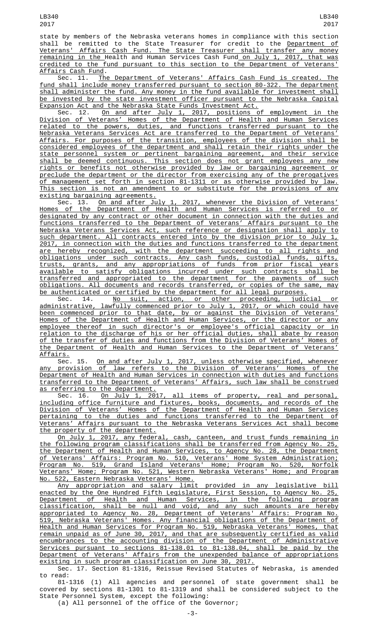state by members of the Nebraska veterans homes in compliance with this section shall be remitted to the State Treasurer for credit to the <u>Department of</u><br>Veterans' Affairs Cash Fund. The State Treasurer shall transfer any money Affairs Cash Fund. The State Treasurer shall transfer any money remaining in the Health and Human Services Cash Fund on July 1, 2017, that was credited to the fund pursuant to this section to the Department of Veterans' Affairs Cash Fund.

Sec. 11. The Department of Veterans' Affairs Cash Fund is created. The fund shall include money transferred pursuant to section 80-322. The department shall administer the fund. Any money in the fund available for investment shall be invested by the state investment officer pursuant to the Nebraska Capital Expansion Act and the Nebraska State Funds Investment Act.

Sec. 12. <u>On and after July 1, 2017, positions of employment in the</u> Division of Veterans' Homes of the Department of Health and Human Services related to the powers, duties, and functions transferred pursuant to the Nebraska Veterans Services Act are transferred to the Department of Veterans' Affairs. For purposes of the transition, employees of the division shall be considered employees of the department and shall retain their rights under the state personnel system or pertinent bargaining agreement, and their service shall be deemed continuous. This section does not grant employees any new rights or benefits not otherwise provided by law or bargaining agreement or preclude the department or the director from exercising any of the prerogatives of management set forth in section 81-1311 or as otherwise provided by law. This section is not an amendment to or substitute for the provisions of any existing bargaining agreements.

Sec. 13. On and after July 1, 2017, whenever the Division of Veterans' Homes of the Department of Health and Human Services is referred to or designated by any contract or other document in connection with the duties and functions transferred to the Department of Veterans' Affairs pursuant to the Nebraska Veterans Services Act, such reference or designation shall apply to such department. All contracts entered into by the division prior to July 1, 2017, in connection with the duties and functions transferred to the department are hereby recognized, with the department succeeding to all rights and obligations under such contracts. Any cash funds, custodial funds, gifts, trusts, grants, and any appropriations of funds from prior fiscal years available to satisfy obligations incurred under such contracts shall be transferred and appropriated to the department for the payments of such obligations. All documents and records transferred, or copies of the same, may be authenticated or certified by the department for all legal purposes.

Sec. 14. No suit, action, or other proceeding, judicial or administrative, lawfully commenced prior to July 1, 2017, or which could have been commenced prior to that date, by or against the Division of Veterans' Homes of the Department of Health and Human Services, or the director or any employee thereof in such director's or employee's official capacity or in relation to the discharge of his or her official duties, shall abate by reason of the transfer of duties and functions from the Division of Veterans' Homes of the Department of Health and Human Services to the Department of Veterans' Affairs.

Sec. 15. On and after July 1, 2017, unless otherwise specified, whenever any provision of law refers to the Division of Veterans' Homes of the Department of Health and Human Services in connection with duties and functions transferred to the Department of Veterans' Affairs, such law shall be construed as referring to the department.

Sec. 16. <u>On July 1, 2017, all items of property, real and personal,</u> including office furniture and fixtures, books, documents, and records of the Division of Veterans' Homes of the Department of Health and Human Services pertaining to the duties and functions transferred to the Department of Veterans' Affairs pursuant to the Nebraska Veterans Services Act shall become the property of the department.

On July 1, 2017, any federal, cash, canteen, and trust funds remaining in the following program classifications shall be transferred from Agency No. 25, the Department of Health and Human Services, to Agency No. 28, the Department of Veterans' Affairs: Program No. 510, Veterans' Home System Administration; Program No. 519, Grand Island Veterans' Home; Program No. 520, Norfolk Veterans' Home; Program No. 521, Western Nebraska Veterans' Home; and Program No. 522, Eastern Nebraska Veterans' Home.

Any appropriation and salary limit provided in any legislative bill enacted by the One Hundred Fifth Legislature, First Session, to Agency No. 25, Department of Health and Human Services, in the following program classification, shall be null and void, and any such amounts are hereby appropriated to Agency No. 28, Department of Veterans' Affairs: Program No. 519, Nebraska Veterans' Homes. Any financial obligations of the Department of Health and Human Services for Program No. 519, Nebraska Veterans' Homes, that remain unpaid as of June 30, 2017, and that are subsequently certified as valid encumbrances to the accounting division of the Department of Administrative Services pursuant to sections 81-138.01 to 81-138.04, shall be paid by the Department of Veterans' Affairs from the unexpended balance of appropriations existing in such program classification on June 30, 2017.

Sec. 17. Section 81-1316, Reissue Revised Statutes of Nebraska, is amended to read:

81-1316 (1) All agencies and personnel of state government shall be covered by sections 81-1301 to 81-1319 and shall be considered subject to the State Personnel System, except the following:

(a) All personnel of the office of the Governor;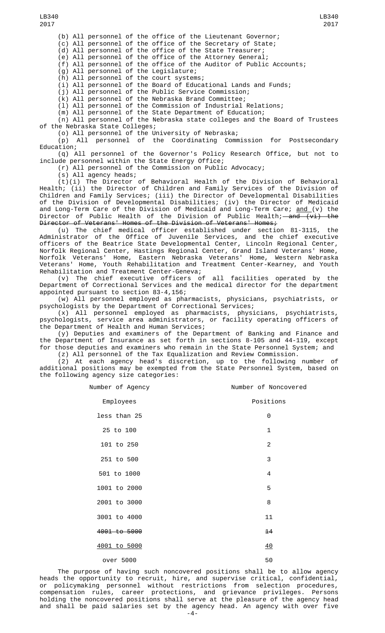(b) All personnel of the office of the Lieutenant Governor;

(c) All personnel of the office of the Secretary of State;

(d) All personnel of the office of the State Treasurer;

(e) All personnel of the office of the Attorney General;

(f) All personnel of the office of the Auditor of Public Accounts;

(g) All personnel of the Legislature;

(h) All personnel of the court systems;

(i) All personnel of the Board of Educational Lands and Funds;

(j) All personnel of the Public Service Commission;

(k) All personnel of the Nebraska Brand Committee;

(l) All personnel of the Commission of Industrial Relations;

(m) All personnel of the State Department of Education;

(n) All personnel of the Nebraska state colleges and the Board of Trustees of the Nebraska State Colleges;

(o) All personnel of the University of Nebraska;

(p) All personnel of the Coordinating Commission for Postsecondary Education;

(q) All personnel of the Governor's Policy Research Office, but not to include personnel within the State Energy Office;

(r) All personnel of the Commission on Public Advocacy;

(s) All agency heads;

(t)(i) The Director of Behavioral Health of the Division of Behavioral Health; (ii) the Director of Children and Family Services of the Division of Children and Family Services; (iii) the Director of Developmental Disabilities of the Division of Developmental Disabilities; (iv) the Director of Medicaid and Long-Term Care of the Division of Medicaid and Long-Term Care; <u>and (</u>v) the Director of Public Health of the Division of Public Health;—<del>and (vi) the</del> Director of Veterans' Homes of the Division of Veterans' Homes;

(u) The chief medical officer established under section 81-3115, the Administrator of the Office of Juvenile Services, and the chief executive officers of the Beatrice State Developmental Center, Lincoln Regional Center, Norfolk Regional Center, Hastings Regional Center, Grand Island Veterans' Home, Norfolk Veterans' Home, Eastern Nebraska Veterans' Home, Western Nebraska Veterans' Home, Youth Rehabilitation and Treatment Center-Kearney, and Youth Rehabilitation and Treatment Center-Geneva;

(v) The chief executive officers of all facilities operated by the Department of Correctional Services and the medical director for the department appointed pursuant to section 83-4,156;

(w) All personnel employed as pharmacists, physicians, psychiatrists, or psychologists by the Department of Correctional Services;

(x) All personnel employed as pharmacists, physicians, psychiatrists, psychologists, service area administrators, or facility operating officers of the Department of Health and Human Services;

(y) Deputies and examiners of the Department of Banking and Finance and the Department of Insurance as set forth in sections 8-105 and 44-119, except for those deputies and examiners who remain in the State Personnel System; and

(z) All personnel of the Tax Equalization and Review Commission. (2) At each agency head's discretion, up to the following number of

additional positions may be exempted from the State Personnel System, based on the following agency size categories:

| Number of Agency | Number of Noncovered |
|------------------|----------------------|
| Employees        | Positions            |
| less than 25     | 0                    |
| 25 to 100        | 1                    |
| 101 to 250       | 2                    |
| 251 to 500       | 3                    |
| 501 to 1000      | $\overline{4}$       |
| 1001 to 2000     | 5                    |
| 2001 to 3000     | 8                    |
| 3001 to 4000     | 11                   |
| 4001 to 5000     | 14                   |
| 4001 to 5000     | 40                   |
| over 5000        | 50                   |

The purpose of having such noncovered positions shall be to allow agency heads the opportunity to recruit, hire, and supervise critical, confidential, or policymaking personnel without restrictions from selection procedures, compensation rules, career protections, and grievance privileges. Persons holding the noncovered positions shall serve at the pleasure of the agency head and shall be paid salaries set by the agency head. An agency with over five